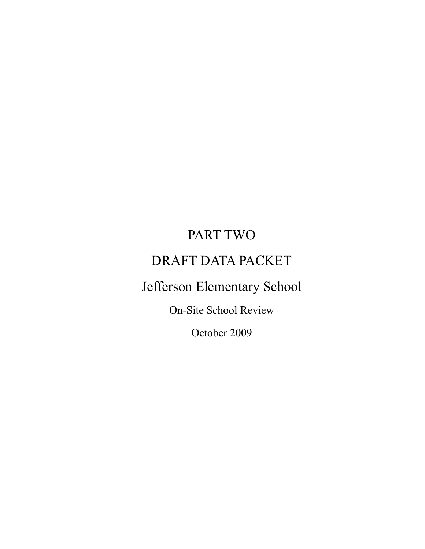# PART TWO

# DRAFT DATA PACKET

Jefferson Elementary School

On-Site School Review

October 2009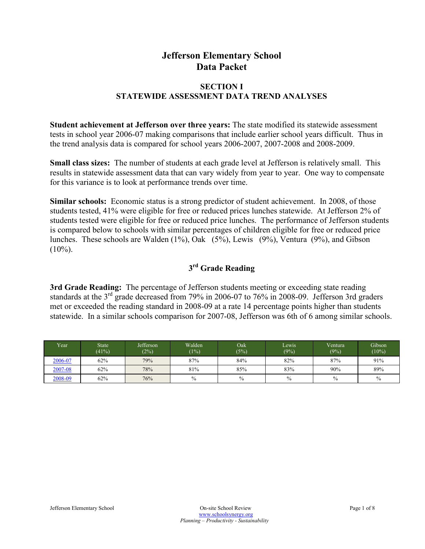# **Jefferson Elementary School Data Packet**

#### **SECTION I STATEWIDE ASSESSMENT DATA TREND ANALYSES**

**Student achievement at Jefferson over three years:** The state modified its statewide assessment tests in school year 2006-07 making comparisons that include earlier school years difficult. Thus in the trend analysis data is compared for school years 2006-2007, 2007-2008 and 2008-2009.

**Small class sizes:** The number of students at each grade level at Jefferson is relatively small. This results in statewide assessment data that can vary widely from year to year. One way to compensate for this variance is to look at performance trends over time.

**Similar schools:** Economic status is a strong predictor of student achievement. In 2008, of those students tested, 41% were eligible for free or reduced prices lunches statewide. At Jefferson 2% of students tested were eligible for free or reduced price lunches. The performance of Jefferson students is compared below to schools with similar percentages of children eligible for free or reduced price lunches. These schools are Walden (1%), Oak (5%), Lewis (9%), Ventura (9%), and Gibson  $(10\%)$ .

### **3 rd Grade Reading**

**3rd Grade Reading:** The percentage of Jefferson students meeting or exceeding state reading standards at the 3<sup>rd</sup> grade decreased from 79% in 2006-07 to 76% in 2008-09. Jefferson 3rd graders met or exceeded the reading standard in 2008-09 at a rate 14 percentage points higher than students statewide. In a similar schools comparison for 2007-08, Jefferson was 6th of 6 among similar schools.

| Year    | State <sup>'</sup><br>(41%) | Jefferson<br>(2%) | Walden<br>(1%) | Oak<br>(5%)   | Lewis<br>(9%) | Ventura<br>(9%) | Gibson<br>$(10\%)$ |
|---------|-----------------------------|-------------------|----------------|---------------|---------------|-----------------|--------------------|
| 2006-07 | 62%                         | 79%               | 87%            | 84%           | 82%           | 87%             | 91%                |
| 2007-08 | 62%                         | 78%               | 81%            | 85%           | 83%           | 90%             | 89%                |
| 2008-09 | 62%                         | 76%               | $\frac{0}{0}$  | $\frac{0}{0}$ | $\%$          | $\frac{0}{0}$   | $\frac{0}{0}$      |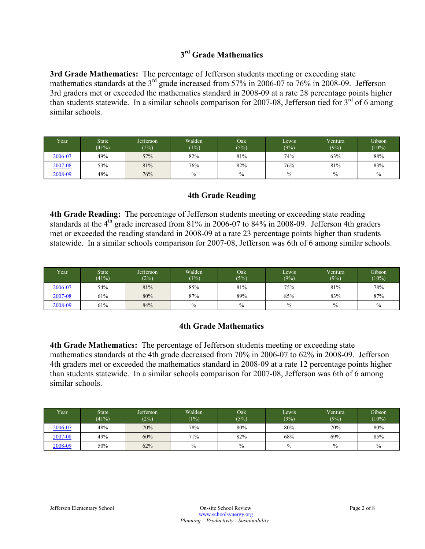## **3 rd Grade Mathematics**

**3rd Grade Mathematics:** The percentage of Jefferson students meeting or exceeding state mathematics standards at the 3<sup>rd</sup> grade increased from 57% in 2006-07 to 76% in 2008-09. Jefferson 3rd graders met or exceeded the mathematics standard in 2008-09 at a rate 28 percentage points higher than students statewide. In a similar schools comparison for 2007-08, Jefferson tied for  $3<sup>rd</sup>$  of 6 among similar schools.

| Year <sup>1</sup> | State <sup>1</sup><br>(41%) | Jefferson<br>(2%) | Walden<br>(1%) | Oak <sup>1</sup><br>(5%) | Lewis<br>(9%) | Ventura<br>(9%) | Gibson<br>$(10\%)$ |
|-------------------|-----------------------------|-------------------|----------------|--------------------------|---------------|-----------------|--------------------|
| 2006-07           | 49%                         | 57%               | 82%            | 81%                      | 74%           | 63%             | 88%                |
| 2007-08           | 53%                         | 81%               | 76%            | 82%                      | 76%           | 81%             | 83%                |
| 2008-09           | 48%                         | 76%               | $\frac{0}{0}$  | $\frac{0}{0}$            | $\frac{0}{0}$ | $\frac{0}{0}$   | $\frac{0}{0}$      |

#### **4th Grade Reading**

**4th Grade Reading:** The percentage of Jefferson students meeting or exceeding state reading standards at the  $4<sup>th</sup>$  grade increased from 81% in 2006-07 to 84% in 2008-09. Jefferson 4th graders met or exceeded the reading standard in 2008-09 at a rate 23 percentage points higher than students statewide. In a similar schools comparison for 2007-08, Jefferson was 6th of 6 among similar schools.

| Vear    | <b>State</b><br>(41%) | Jefferson<br>(2%) | Walden<br>(1%) | Oak<br>(5%)   | Lewis<br>(9%) | <b>Ventura</b><br>(9%) | Gibson<br>$(10\%)$ |
|---------|-----------------------|-------------------|----------------|---------------|---------------|------------------------|--------------------|
| 2006-07 | 54%                   | 81%               | 85%            | 81%           | 75%           | 81%                    | 78%                |
| 2007-08 | 61%                   | 80%               | 87%            | 89%           | 85%           | 83%                    | 87%                |
| 2008-09 | 61%                   | 84%               | $\frac{0}{0}$  | $\frac{0}{0}$ | $\frac{0}{0}$ | $\%$                   | $\frac{0}{0}$      |

#### **4th Grade Mathematics**

**4th Grade Mathematics:** The percentage of Jefferson students meeting or exceeding state mathematics standards at the 4th grade decreased from 70% in 2006-07 to 62% in 2008-09. Jefferson 4th graders met or exceeded the mathematics standard in 2008-09 at a rate 12 percentage points higher than students statewide. In a similar schools comparison for 2007-08, Jefferson was 6th of 6 among similar schools.

| <b>Year</b> | <b>State</b><br>(41%) | Jefferson<br>(2%) | Walden<br>(1%) | Oak<br>(5%)   | Lewis<br>(9%) | Ventura<br>(9%) | Gibson<br>$(10\%)$ |
|-------------|-----------------------|-------------------|----------------|---------------|---------------|-----------------|--------------------|
| 2006-07     | 48%                   | 70%               | 78%            | 80%           | 80%           | 70%             | 80%                |
| 2007-08     | 49%                   | 60%               | 71%            | 82%           | 68%           | 69%             | 85%                |
| 2008-09     | 50%                   | 62%               | $\frac{0}{0}$  | $\frac{0}{0}$ | $\frac{0}{0}$ | $\frac{0}{0}$   | $\frac{0}{0}$      |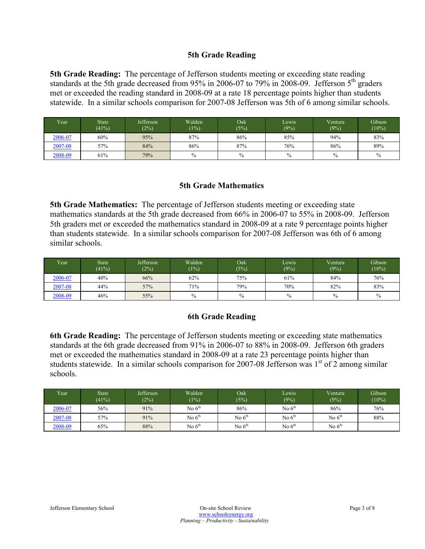#### **5th Grade Reading**

**5th Grade Reading:** The percentage of Jefferson students meeting or exceeding state reading standards at the 5th grade decreased from 95% in 2006-07 to 79% in 2008-09. Jefferson  $5<sup>th</sup>$  graders met or exceeded the reading standard in 2008-09 at a rate 18 percentage points higher than students statewide. In a similar schools comparison for 2007-08 Jefferson was 5th of 6 among similar schools.

| Year    | State <sup>'</sup><br>(41%) | Jefferson<br>(2%) | Walden <sup>1</sup><br>(1%) | Oak<br>(5%) | Lewis<br>(9%) | Ventura<br>(9%) | Gibson<br>$(10\%)$ |
|---------|-----------------------------|-------------------|-----------------------------|-------------|---------------|-----------------|--------------------|
| 2006-07 | 60%                         | 95%               | 87%                         | 86%         | 85%           | 94%             | 83%                |
| 2007-08 | 57%                         | 84%               | 86%                         | 87%         | 76%           | 86%             | 89%                |
| 2008-09 | 61%                         | 79%               | $\%$                        | $\%$        | $\%$          | $\frac{0}{0}$   | $\frac{0}{0}$      |

#### **5th Grade Mathematics**

**5th Grade Mathematics:** The percentage of Jefferson students meeting or exceeding state mathematics standards at the 5th grade decreased from 66% in 2006-07 to 55% in 2008-09. Jefferson 5th graders met or exceeded the mathematics standard in 2008-09 at a rate 9 percentage points higher than students statewide. In a similar schools comparison for 2007-08 Jefferson was 6th of 6 among similar schools.

| Vear    | State <sup>1</sup><br>(41%) | <b>Jefferson</b><br>(2%) | Walden<br>(1%) | Oak<br>(5%)   | Lewis<br>(9%) | Ventura<br>(9%) | Gibson<br>$(10\%)$ |
|---------|-----------------------------|--------------------------|----------------|---------------|---------------|-----------------|--------------------|
| 2006-07 | 40%                         | 66%                      | 62%            | 75%           | 61%           | 84%             | 76%                |
| 2007-08 | 44%                         | 57%                      | 71%            | 79%           | 70%           | 82%             | 83%                |
| 2008-09 | 46%                         | 55%                      | $\frac{0}{0}$  | $\frac{0}{0}$ | $\frac{0}{0}$ | $\frac{0}{0}$   | $\frac{0}{0}$      |

#### **6th Grade Reading**

**6th Grade Reading:** The percentage of Jefferson students meeting or exceeding state mathematics standards at the 6th grade decreased from 91% in 2006-07 to 88% in 2008-09. Jefferson 6th graders met or exceeded the mathematics standard in 2008-09 at a rate 23 percentage points higher than students statewide. In a similar schools comparison for 2007-08 Jefferson was  $1<sup>st</sup>$  of 2 among similar schools.

| Year    | <b>State</b><br>(41%) | Jefferson<br>(2%) | Walden<br>(1% | Oak <sup>1</sup><br>(5%) | Lewis.<br>(9%) | Ventura<br>(9%) | Gibson<br>$(10\%)$ |
|---------|-----------------------|-------------------|---------------|--------------------------|----------------|-----------------|--------------------|
| 2006-07 | 56%                   | 91%               | No $6th$      | 86%                      | No $6th$       | 86%             | 76%                |
| 2007-08 | 57%                   | 91%               | No $6th$      | No $6th$                 | No $6^{th}$    | No $6th$        | 88%                |
| 2008-09 | 65%                   | 88%               | No $6^{th}$   | No $6th$                 | No $6th$       | No $6th$        |                    |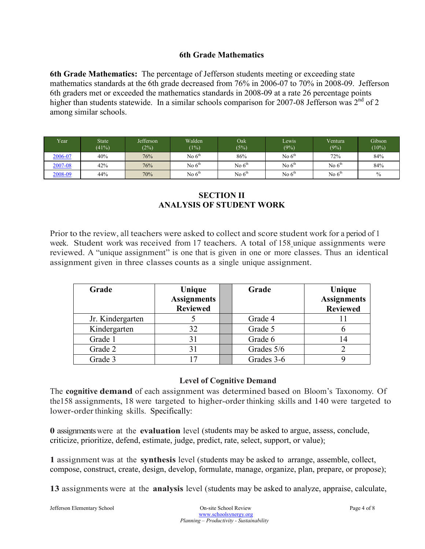#### **6th Grade Mathematics**

**6th Grade Mathematics:** The percentage of Jefferson students meeting or exceeding state mathematics standards at the 6th grade decreased from 76% in 2006-07 to 70% in 2008-09. Jefferson 6th graders met or exceeded the mathematics standards in 2008-09 at a rate 26 percentage points higher than students statewide. In a similar schools comparison for 2007-08 Jefferson was  $2<sup>nd</sup>$  of 2 among similar schools.

| Year    | <b>State</b><br>(41%) | Jefferson<br>(2%) | Walden<br>(1%) | $\overline{Oak}$<br>(5%) | Lewis<br>(9%) | Ventura<br>(9%) | Gibson<br>$(10\%)$ |
|---------|-----------------------|-------------------|----------------|--------------------------|---------------|-----------------|--------------------|
| 2006-07 | 40%                   | 76%               | No $6th$       | 86%                      | No $6th$      | 72%             | 84%                |
| 2007-08 | 42%                   | 76%               | No $6th$       | No $6th$                 | No $6th$      | No $6th$        | 84%                |
| 2008-09 | 44%                   | 70%               | No $6th$       | No $6th$                 | No $6th$      | No $6th$        | $\frac{0}{0}$      |

#### **SECTION II ANALYSIS OF STUDENT WORK**

Prior to the review, all teachers were asked to collect and score student work for a period of 1 week. Student work was received from 17 teachers. A total of 158 unique assignments were reviewed. A "unique assignment" is one that is given in one or more classes. Thus an identical assignment given in three classes counts as a single unique assignment.

| Grade            | Unique<br><b>Assignments</b><br><b>Reviewed</b> |  | Grade      | Unique<br><b>Assignments</b><br><b>Reviewed</b> |  |
|------------------|-------------------------------------------------|--|------------|-------------------------------------------------|--|
| Jr. Kindergarten |                                                 |  | Grade 4    |                                                 |  |
| Kindergarten     | 32                                              |  | Grade 5    |                                                 |  |
| Grade 1          | 31                                              |  | Grade 6    | 14                                              |  |
| Grade 2          | 31                                              |  | Grades 5/6 |                                                 |  |
| Grade 3          | 7                                               |  | Grades 3-6 |                                                 |  |

#### **Level of Cognitive Demand**

The **cognitive demand** of each assignment was determined based on Bloom's Taxonomy. Of the158 assignments, 18 were targeted to higher-order thinking skills and 140 were targeted to lower-order thinking skills. Specifically:

**0** assignments were at the **evaluation** level (students may be asked to argue, assess, conclude, criticize, prioritize, defend, estimate, judge, predict, rate, select, support, or value);

**1** assignment was at the **synthesis** level (students may be asked to arrange, assemble, collect, compose, construct, create, design, develop, formulate, manage, organize, plan, prepare, or propose);

**13** assignments were at the **analysis** level (students may be asked to analyze, appraise, calculate,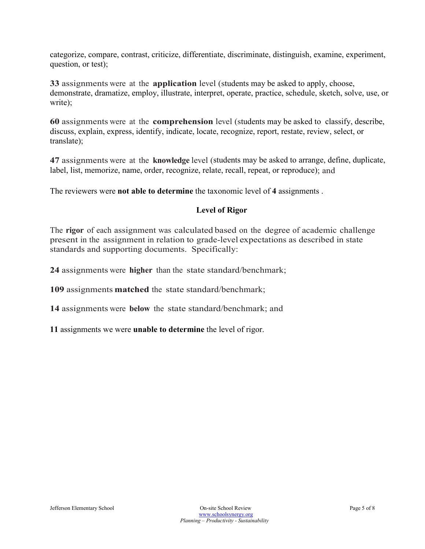categorize, compare, contrast, criticize, differentiate, discriminate, distinguish, examine, experiment, question, or test);

**33** assignments were at the **application** level (students may be asked to apply, choose, demonstrate, dramatize, employ, illustrate, interpret, operate, practice, schedule, sketch, solve, use, or write);

**60** assignments were at the **comprehension** level (students may be asked to classify, describe, discuss, explain, express, identify, indicate, locate, recognize, report, restate, review, select, or translate);

**47** assignments were at the **knowledge** level (students may be asked to arrange, define, duplicate, label, list, memorize, name, order, recognize, relate, recall, repeat, or reproduce); and

The reviewers were **not able to determine** the taxonomic level of **4** assignments .

#### **Level of Rigor**

The **rigor** of each assignment was calculated based on the degree of academic challenge present in the assignment in relation to grade-level expectations as described in state standards and supporting documents. Specifically:

**24** assignments were **higher** than the state standard/benchmark;

**109** assignments **matched** the state standard/benchmark;

**14** assignments were **below** the state standard/benchmark; and

**11** assignments we were **unable to determine** the level of rigor.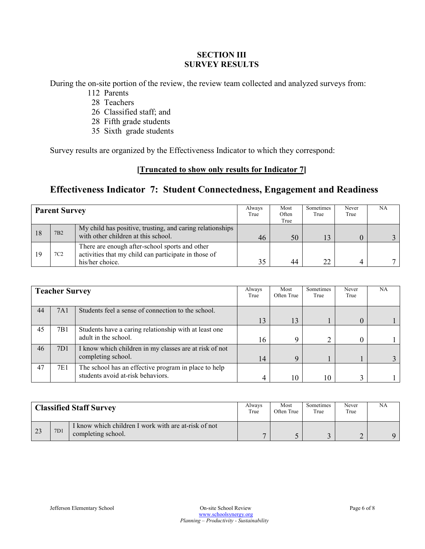#### **SECTION III SURVEY RESULTS**

During the on-site portion of the review, the review team collected and analyzed surveys from:

- 112 Parents
- 28 Teachers
- 26 Classified staff; and
- 28 Fifth grade students
- 35 Sixth grade students

Survey results are organized by the Effectiveness Indicator to which they correspond:

### **[Truncated to show only results for Indicator 7]**

# **Effectiveness Indicator 7: Student Connectedness, Engagement and Readiness**

|     | <b>Parent Survey</b> |                                                                                                                           |    | Most<br>Often<br>True | Sometimes<br>True | Never<br>True | NA |
|-----|----------------------|---------------------------------------------------------------------------------------------------------------------------|----|-----------------------|-------------------|---------------|----|
| -18 | 7B2                  | My child has positive, trusting, and caring relationships<br>with other children at this school.                          | 46 | 50                    | 13                |               |    |
|     | 7C2                  | There are enough after-school sports and other<br>activities that my child can participate in those of<br>his/her choice. | 35 | 44                    | 22                |               |    |

|    | <b>Teacher Survey</b> |                                                                                           | Always<br>True | Most<br>Often True | Sometimes<br>True | Never<br>True | NA |
|----|-----------------------|-------------------------------------------------------------------------------------------|----------------|--------------------|-------------------|---------------|----|
| 44 | 7A1                   | Students feel a sense of connection to the school.                                        |                |                    |                   |               |    |
|    |                       |                                                                                           | 13             | 13                 |                   |               |    |
| 45 | 7B1                   | Students have a caring relationship with at least one<br>adult in the school.             | 16             | Q                  | ↑                 |               |    |
| 46 | 7 <sub>D</sub> 1      | I know which children in my classes are at risk of not<br>completing school.              | 14             | $\mathbf Q$        |                   |               |    |
| 47 | 7E1                   | The school has an effective program in place to help<br>students avoid at-risk behaviors. |                | 10                 | 10                |               |    |

| <b>Classified Staff Survey</b> |     |                                                                            | Alwavs<br>True | Most<br>Often True | Sometimes<br>True | Never<br>True | NA |
|--------------------------------|-----|----------------------------------------------------------------------------|----------------|--------------------|-------------------|---------------|----|
| 23                             | 7D1 | I know which children I work with are at-risk of not<br>completing school. |                |                    |                   |               |    |